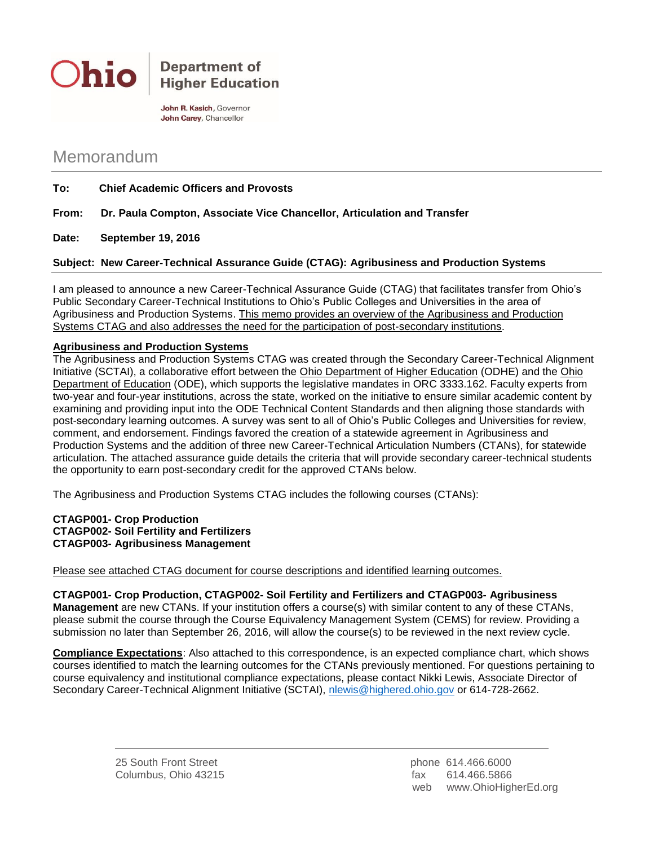

**Department of Higher Education** 

John R. Kasich, Governor John Carey, Chancellor

## Memorandum

**To: Chief Academic Officers and Provosts**

**From: Dr. Paula Compton, Associate Vice Chancellor, Articulation and Transfer**

**Date: September 19, 2016**

**Subject: New Career-Technical Assurance Guide (CTAG): Agribusiness and Production Systems** 

I am pleased to announce a new Career-Technical Assurance Guide (CTAG) that facilitates transfer from Ohio's Public Secondary Career-Technical Institutions to Ohio's Public Colleges and Universities in the area of Agribusiness and Production Systems. This memo provides an overview of the Agribusiness and Production Systems CTAG and also addresses the need for the participation of post-secondary institutions.

## **Agribusiness and Production Systems**

The Agribusiness and Production Systems CTAG was created through the Secondary Career-Technical Alignment Initiative (SCTAI), a collaborative effort between the Ohio Department of Higher Education (ODHE) and the Ohio Department of Education (ODE), which supports the legislative mandates in ORC 3333.162. Faculty experts from two-year and four-year institutions, across the state, worked on the initiative to ensure similar academic content by examining and providing input into the ODE Technical Content Standards and then aligning those standards with post-secondary learning outcomes. A survey was sent to all of Ohio's Public Colleges and Universities for review, comment, and endorsement. Findings favored the creation of a statewide agreement in Agribusiness and Production Systems and the addition of three new Career-Technical Articulation Numbers (CTANs), for statewide articulation. The attached assurance guide details the criteria that will provide secondary career-technical students the opportunity to earn post-secondary credit for the approved CTANs below.

The Agribusiness and Production Systems CTAG includes the following courses (CTANs):

## **CTAGP001- Crop Production CTAGP002- Soil Fertility and Fertilizers CTAGP003- Agribusiness Management**

Please see attached CTAG document for course descriptions and identified learning outcomes.

**CTAGP001- Crop Production, CTAGP002- Soil Fertility and Fertilizers and CTAGP003- Agribusiness Management** are new CTANs. If your institution offers a course(s) with similar content to any of these CTANs, please submit the course through the Course Equivalency Management System (CEMS) for review. Providing a submission no later than September 26, 2016, will allow the course(s) to be reviewed in the next review cycle.

**Compliance Expectations**: Also attached to this correspondence, is an expected compliance chart, which shows courses identified to match the learning outcomes for the CTANs previously mentioned. For questions pertaining to course equivalency and institutional compliance expectations, please contact Nikki Lewis, Associate Director of Secondary Career-Technical Alignment Initiative (SCTAI), [nlewis@highered.ohio.gov](mailto:nlewis@highered.ohio.gov) or 614-728-2662.